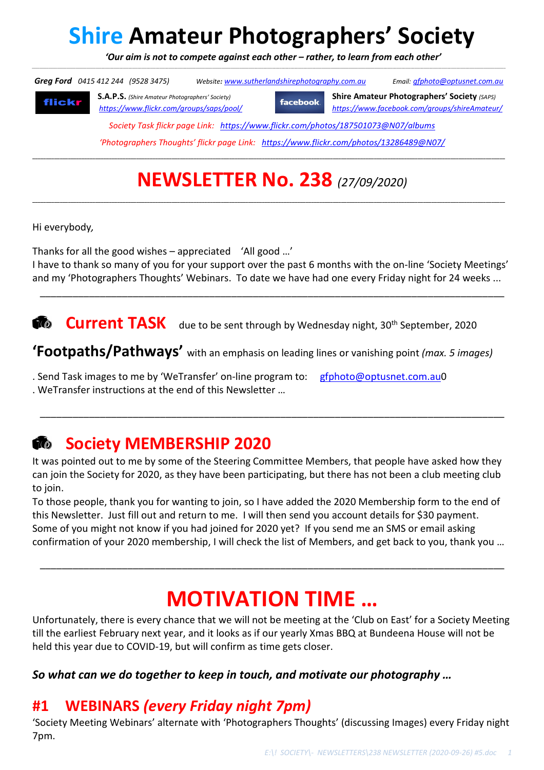# **Shire Amateur Photographers' Society**

 *'Our aim is not to compete against each other – rather, to learn from each other'* 

\_\_\_\_\_\_\_\_\_\_\_\_\_\_\_\_\_\_\_\_\_\_\_\_\_\_\_\_\_\_\_\_\_\_\_\_\_\_\_\_\_\_\_\_\_\_\_\_\_\_\_\_\_\_\_\_\_\_\_\_\_\_\_\_\_\_\_\_\_\_\_\_\_\_\_\_\_\_\_\_\_\_\_\_\_\_\_\_\_\_\_\_\_\_\_\_\_\_\_\_\_\_\_\_\_\_\_\_\_\_\_\_\_\_\_\_\_\_\_\_\_\_\_\_\_\_\_\_\_\_\_\_\_\_\_\_\_\_\_\_\_\_\_\_\_\_\_\_\_\_\_\_\_\_\_\_\_\_\_\_\_\_\_\_\_\_\_\_\_\_\_\_\_\_\_\_\_\_\_\_\_\_\_\_\_\_\_\_\_\_\_\_\_\_\_\_\_\_\_\_\_\_\_\_\_\_\_\_\_\_\_\_\_\_\_\_\_\_\_\_\_\_\_\_\_\_\_\_\_\_\_\_\_\_\_\_\_\_\_\_\_\_\_\_\_\_\_\_\_\_\_\_\_\_\_\_\_\_\_\_  *Greg Ford 0415 412 244 (9528 3475) Website: www.sutherlandshirephotography.com.au Email: gfphoto@optusnet.com.au* 

flickr

**S.A.P.S.** *(Shire Amateur Photographers' Society)* **facebook Shire Amateur Photographers' Society** *(SAPS) https://www.flickr.com/groups/saps/pool/ https://www.facebook.com/groups/shireAmateur/*

*Society Task flickr page Link: https://www.flickr.com/photos/187501073@N07/albums* 

*'Photographers Thoughts' flickr page Link: https://www.flickr.com/photos/13286489@N07/* **\_\_\_\_\_\_\_\_\_\_\_\_\_\_\_\_\_\_\_\_\_\_\_\_\_\_\_\_\_\_\_\_\_\_\_\_\_\_\_\_\_\_\_\_\_\_\_\_\_\_\_\_\_\_\_\_\_\_\_\_\_\_\_\_\_\_\_\_\_\_\_\_\_\_\_\_\_\_\_\_\_\_\_\_\_\_\_\_\_\_\_\_\_\_\_\_\_\_\_\_\_\_\_\_\_\_\_\_\_\_\_\_\_\_\_\_\_\_\_\_\_\_\_\_\_\_\_\_\_\_\_\_\_\_\_\_\_\_\_\_\_\_\_\_\_\_\_\_\_\_\_\_\_\_\_\_\_\_\_\_\_\_\_\_\_\_\_\_\_\_\_\_\_** 

# **NEWSLETTER No. 238** *(27/09/2020)*

**\_\_\_\_\_\_\_\_\_\_\_\_\_\_\_\_\_\_\_\_\_\_\_\_\_\_\_\_\_\_\_\_\_\_\_\_\_\_\_\_\_\_\_\_\_\_\_\_\_\_\_\_\_\_\_\_\_\_\_\_\_\_\_\_\_\_\_\_\_\_\_\_\_\_\_\_\_\_\_\_\_\_\_\_\_\_\_\_\_\_\_\_\_\_\_\_\_\_\_\_\_\_\_\_\_\_\_\_\_\_\_\_\_\_\_\_\_\_\_\_\_\_\_\_\_\_\_\_\_\_\_\_\_\_\_\_\_\_\_\_\_\_\_\_\_\_\_\_\_\_\_\_\_\_\_\_\_\_\_\_\_\_\_\_\_\_\_\_\_\_\_\_\_** 

Hi everybody*,* 

Thanks for all the good wishes – appreciated 'All good …'

I have to thank so many of you for your support over the past 6 months with the on-line 'Society Meetings' and my 'Photographers Thoughts' Webinars. To date we have had one every Friday night for 24 weeks ...

\_\_\_\_\_\_\_\_\_\_\_\_\_\_\_\_\_\_\_\_\_\_\_\_\_\_\_\_\_\_\_\_\_\_\_\_\_\_\_\_\_\_\_\_\_\_\_\_\_\_\_\_\_\_\_\_\_\_\_\_\_\_\_\_\_\_\_\_\_\_\_\_\_\_\_\_\_\_\_\_\_\_\_\_\_

#### **To Current TASK** due to be sent through by Wednesday night, 30<sup>th</sup> September, 2020

**'Footpaths/Pathways'** with an emphasis on leading lines or vanishing point *(max. 5 images)*

. Send Task images to me by 'WeTransfer' on-line program to:  $\frac{gfphoto\omega_{\text{optusnet.com.au0}}{gphoto\omega_{\text{optusnet.com.au0}}}$ . WeTransfer instructions at the end of this Newsletter …

## *C***<sub>o</sub>** Society MEMBERSHIP 2020

It was pointed out to me by some of the Steering Committee Members, that people have asked how they can join the Society for 2020, as they have been participating, but there has not been a club meeting club to join.

\_\_\_\_\_\_\_\_\_\_\_\_\_\_\_\_\_\_\_\_\_\_\_\_\_\_\_\_\_\_\_\_\_\_\_\_\_\_\_\_\_\_\_\_\_\_\_\_\_\_\_\_\_\_\_\_\_\_\_\_\_\_\_\_\_\_\_\_\_\_\_\_\_\_\_\_\_\_\_\_\_\_\_\_\_

To those people, thank you for wanting to join, so I have added the 2020 Membership form to the end of this Newsletter. Just fill out and return to me. I will then send you account details for \$30 payment. Some of you might not know if you had joined for 2020 yet? If you send me an SMS or email asking confirmation of your 2020 membership, I will check the list of Members, and get back to you, thank you …

# **MOTIVATION TIME …**

\_\_\_\_\_\_\_\_\_\_\_\_\_\_\_\_\_\_\_\_\_\_\_\_\_\_\_\_\_\_\_\_\_\_\_\_\_\_\_\_\_\_\_\_\_\_\_\_\_\_\_\_\_\_\_\_\_\_\_\_\_\_\_\_\_\_\_\_\_\_\_\_\_\_\_\_\_\_\_\_\_\_\_\_\_

Unfortunately, there is every chance that we will not be meeting at the 'Club on East' for a Society Meeting till the earliest February next year, and it looks as if our yearly Xmas BBQ at Bundeena House will not be held this year due to COVID-19, but will confirm as time gets closer.

#### *So what can we do together to keep in touch, and motivate our photography …*

#### **#1 WEBINARS** *(every Friday night 7pm)*

'Society Meeting Webinars' alternate with 'Photographers Thoughts' (discussing Images) every Friday night 7pm.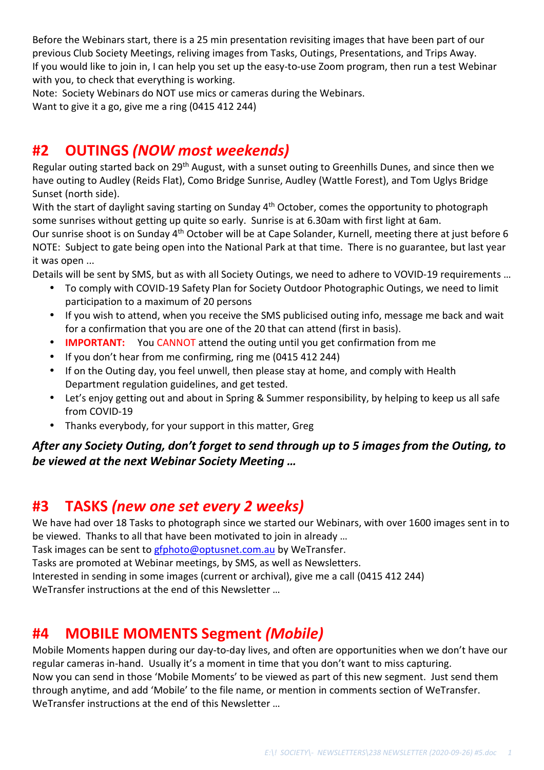Before the Webinars start, there is a 25 min presentation revisiting images that have been part of our previous Club Society Meetings, reliving images from Tasks, Outings, Presentations, and Trips Away. If you would like to join in, I can help you set up the easy-to-use Zoom program, then run a test Webinar with you, to check that everything is working.

Note: Society Webinars do NOT use mics or cameras during the Webinars. Want to give it a go, give me a ring (0415 412 244)

#### **#2 OUTINGS** *(NOW most weekends)*

Regular outing started back on 29th August, with a sunset outing to Greenhills Dunes, and since then we have outing to Audley (Reids Flat), Como Bridge Sunrise, Audley (Wattle Forest), and Tom Uglys Bridge Sunset (north side).

With the start of daylight saving starting on Sunday 4<sup>th</sup> October, comes the opportunity to photograph some sunrises without getting up quite so early. Sunrise is at 6.30am with first light at 6am.

Our sunrise shoot is on Sunday 4<sup>th</sup> October will be at Cape Solander, Kurnell, meeting there at just before 6 NOTE: Subject to gate being open into the National Park at that time. There is no guarantee, but last year it was open ...

Details will be sent by SMS, but as with all Society Outings, we need to adhere to VOVID-19 requirements …

- To comply with COVID-19 Safety Plan for Society Outdoor Photographic Outings, we need to limit participation to a maximum of 20 persons
- If you wish to attend, when you receive the SMS publicised outing info, message me back and wait for a confirmation that you are one of the 20 that can attend (first in basis).
- **IMPORTANT:** You CANNOT attend the outing until you get confirmation from me
- If you don't hear from me confirming, ring me (0415 412 244)
- If on the Outing day, you feel unwell, then please stay at home, and comply with Health Department regulation guidelines, and get tested.
- Let's enjoy getting out and about in Spring & Summer responsibility, by helping to keep us all safe from COVID-19
- Thanks everybody, for your support in this matter, Greg

#### *After any Society Outing, don't forget to send through up to 5 images from the Outing, to be viewed at the next Webinar Society Meeting …*

## **#3 TASKS** *(new one set every 2 weeks)*

We have had over 18 Tasks to photograph since we started our Webinars, with over 1600 images sent in to be viewed. Thanks to all that have been motivated to join in already … Task images can be sent to gfphoto@optusnet.com.au by WeTransfer. Tasks are promoted at Webinar meetings, by SMS, as well as Newsletters. Interested in sending in some images (current or archival), give me a call (0415 412 244) WeTransfer instructions at the end of this Newsletter …

## **#4 MOBILE MOMENTS Segment** *(Mobile)*

Mobile Moments happen during our day-to-day lives, and often are opportunities when we don't have our regular cameras in-hand. Usually it's a moment in time that you don't want to miss capturing. Now you can send in those 'Mobile Moments' to be viewed as part of this new segment. Just send them through anytime, and add 'Mobile' to the file name, or mention in comments section of WeTransfer. WeTransfer instructions at the end of this Newsletter …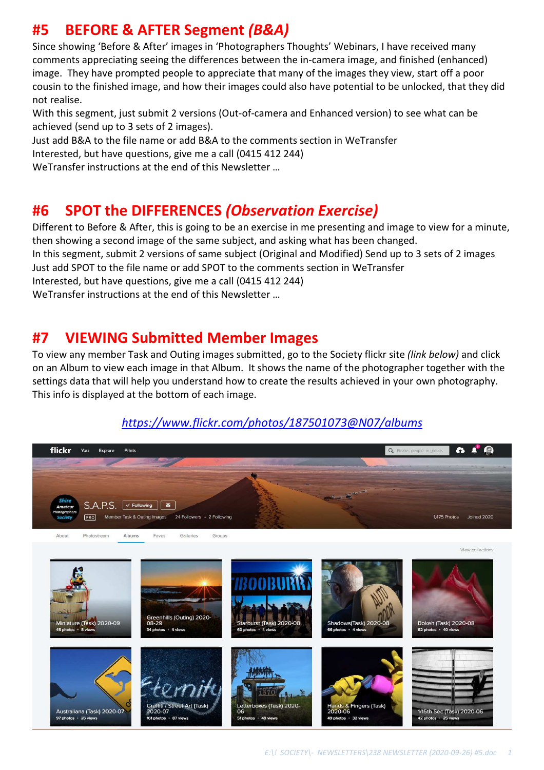### **#5 BEFORE & AFTER Segment** *(B&A)*

Since showing 'Before & After' images in 'Photographers Thoughts' Webinars, I have received many comments appreciating seeing the differences between the in-camera image, and finished (enhanced) image. They have prompted people to appreciate that many of the images they view, start off a poor cousin to the finished image, and how their images could also have potential to be unlocked, that they did not realise.

With this segment, just submit 2 versions (Out-of-camera and Enhanced version) to see what can be achieved (send up to 3 sets of 2 images).

Just add B&A to the file name or add B&A to the comments section in WeTransfer

Interested, but have questions, give me a call (0415 412 244)

WeTransfer instructions at the end of this Newsletter …

#### **#6 SPOT the DIFFERENCES** *(Observation Exercise)*

Different to Before & After, this is going to be an exercise in me presenting and image to view for a minute, then showing a second image of the same subject, and asking what has been changed. In this segment, submit 2 versions of same subject (Original and Modified) Send up to 3 sets of 2 images Just add SPOT to the file name or add SPOT to the comments section in WeTransfer Interested, but have questions, give me a call (0415 412 244)

WeTransfer instructions at the end of this Newsletter …

#### **#7 VIEWING Submitted Member Images**

To view any member Task and Outing images submitted, go to the Society flickr site *(link below)* and click on an Album to view each image in that Album. It shows the name of the photographer together with the settings data that will help you understand how to create the results achieved in your own photography. This info is displayed at the bottom of each image.

#### *https://www.flickr.com/photos/187501073@N07/albums*

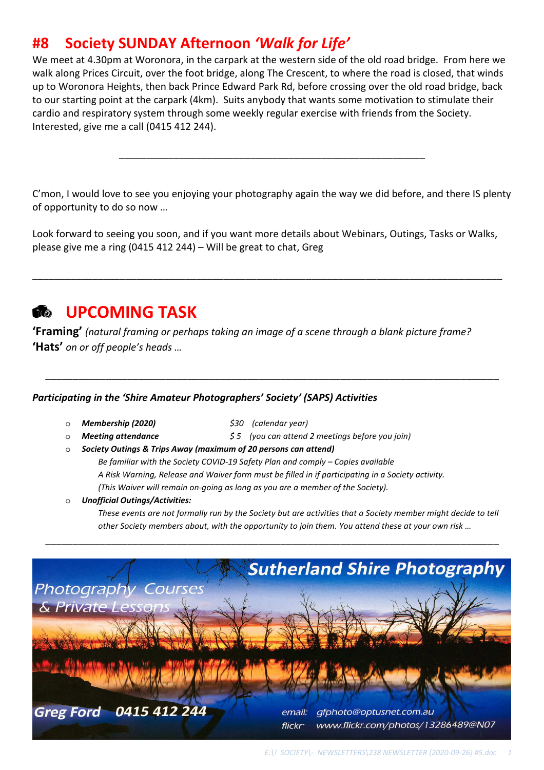#### **#8 Society SUNDAY Afternoon** *'Walk for Life'*

We meet at 4.30pm at Woronora, in the carpark at the western side of the old road bridge. From here we walk along Prices Circuit, over the foot bridge, along The Crescent, to where the road is closed, that winds up to Woronora Heights, then back Prince Edward Park Rd, before crossing over the old road bridge, back to our starting point at the carpark (4km). Suits anybody that wants some motivation to stimulate their cardio and respiratory system through some weekly regular exercise with friends from the Society. Interested, give me a call (0415 412 244).

C'mon, I would love to see you enjoying your photography again the way we did before, and there IS plenty of opportunity to do so now …

\_\_\_\_\_\_\_\_\_\_\_\_\_\_\_\_\_\_\_\_\_\_\_\_\_\_\_\_\_\_\_\_\_\_\_\_\_\_\_\_\_\_\_\_\_\_\_\_\_\_\_\_\_\_\_\_

Look forward to seeing you soon, and if you want more details about Webinars, Outings, Tasks or Walks, please give me a ring (0415 412 244) – Will be great to chat, Greg

\_\_\_\_\_\_\_\_\_\_\_\_\_\_\_\_\_\_\_\_\_\_\_\_\_\_\_\_\_\_\_\_\_\_\_\_\_\_\_\_\_\_\_\_\_\_\_\_\_\_\_\_\_\_\_\_\_\_\_\_\_\_\_\_\_\_\_\_\_\_\_\_\_\_\_\_\_\_\_\_\_\_\_\_\_\_

## *C***<sub>o</sub>** UPCOMING TASK

**'Framing'** *(natural framing or perhaps taking an image of a scene through a blank picture frame?* **'Hats'** *on or off people's heads …*

#### *Participating in the 'Shire Amateur Photographers' Society' (SAPS) Activities*

- o *Membership (2020) \$30 (calendar year)*
- 
- 

\_\_\_\_\_\_\_\_\_\_\_\_\_\_\_\_\_\_\_\_\_\_\_\_\_\_\_\_\_\_\_\_\_\_\_\_\_\_\_\_\_\_\_\_\_\_\_\_\_\_\_\_\_\_\_\_\_\_\_\_\_\_\_\_\_\_\_\_\_\_\_\_\_\_\_\_\_\_\_\_\_\_\_

- o *Meeting attendance \$ 5 (you can attend 2 meetings before you join)*
- 
- o *Society Outings & Trips Away (maximum of 20 persons can attend)* 
	- *Be familiar with the Society COVID-19 Safety Plan and comply Copies available A Risk Warning, Release and Waiver form must be filled in if participating in a Society activity. (This Waiver will remain on-going as long as you are a member of the Society).*
- o *Unofficial Outings/Activities:*

*These events are not formally run by the Society but are activities that a Society member might decide to tell other Society members about, with the opportunity to join them. You attend these at your own risk …* 

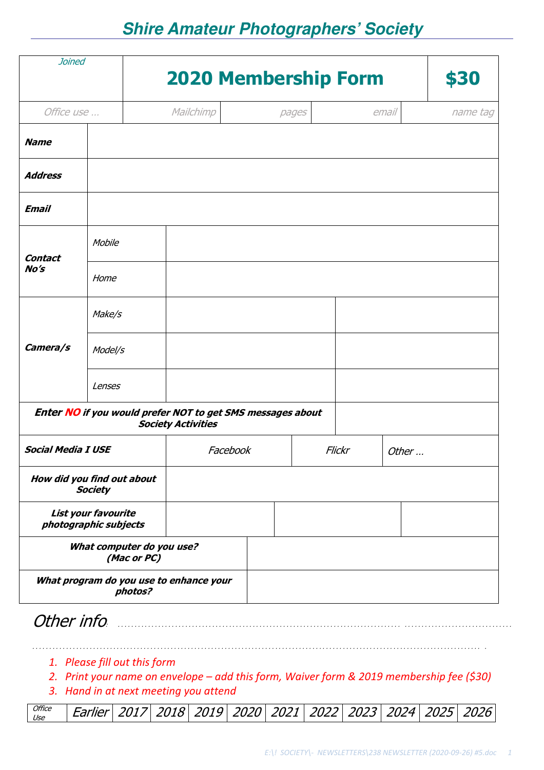# **Shire Amateur Photographers' Society**

| <b>Joined</b><br>Office use                  |                                                    | <b>2020 Membership Form</b>                                                             |  |        |  |       | \$30     |
|----------------------------------------------|----------------------------------------------------|-----------------------------------------------------------------------------------------|--|--------|--|-------|----------|
|                                              |                                                    | Mailchimp                                                                               |  | pages  |  | email | name tag |
| <b>Name</b>                                  |                                                    |                                                                                         |  |        |  |       |          |
| <b>Address</b>                               |                                                    |                                                                                         |  |        |  |       |          |
| <b>Email</b>                                 |                                                    |                                                                                         |  |        |  |       |          |
| <b>Contact</b><br>No's                       | Mobile                                             |                                                                                         |  |        |  |       |          |
|                                              | Home                                               |                                                                                         |  |        |  |       |          |
| Camera/s                                     | Make/s                                             |                                                                                         |  |        |  |       |          |
|                                              | Model/s                                            |                                                                                         |  |        |  |       |          |
|                                              | Lenses                                             |                                                                                         |  |        |  |       |          |
|                                              |                                                    | Enter NO if you would prefer NOT to get SMS messages about<br><b>Society Activities</b> |  |        |  |       |          |
| <b>Social Media I USE</b>                    |                                                    | Facebook                                                                                |  | Flickr |  | Other |          |
|                                              | How did you find out about<br><b>Society</b>       |                                                                                         |  |        |  |       |          |
| List your favourite<br>photographic subjects |                                                    |                                                                                         |  |        |  |       |          |
|                                              | What computer do you use?<br>(Mac or PC)           |                                                                                         |  |        |  |       |          |
|                                              | What program do you use to enhance your<br>photos? |                                                                                         |  |        |  |       |          |

- Other info
	- *1. Please fill out this form*
	- *2. Print your name on envelope add this form, Waiver form & 2019 membership fee (\$30)*

. . . . . . . . . . . . . . . . . . . . . . . . . . . . . . . . . . . . . . . . . . . . . . . . . . . . . . . . . . . . . . . . . . . . . . . . . . . . . . . . . . . . . . . . . . . . . . . . . . . . . . . . . . . . . . . . . . . . . . . . . . . . . . . . . . . . . .

*3. Hand in at next meeting you attend* 

**Office** <sup>Uffice</sup> | Earlier | 2017 | 2018 | 2019 | 2020 | 2021 | 2022 | 2023 | 2024 | 2025 | 2026